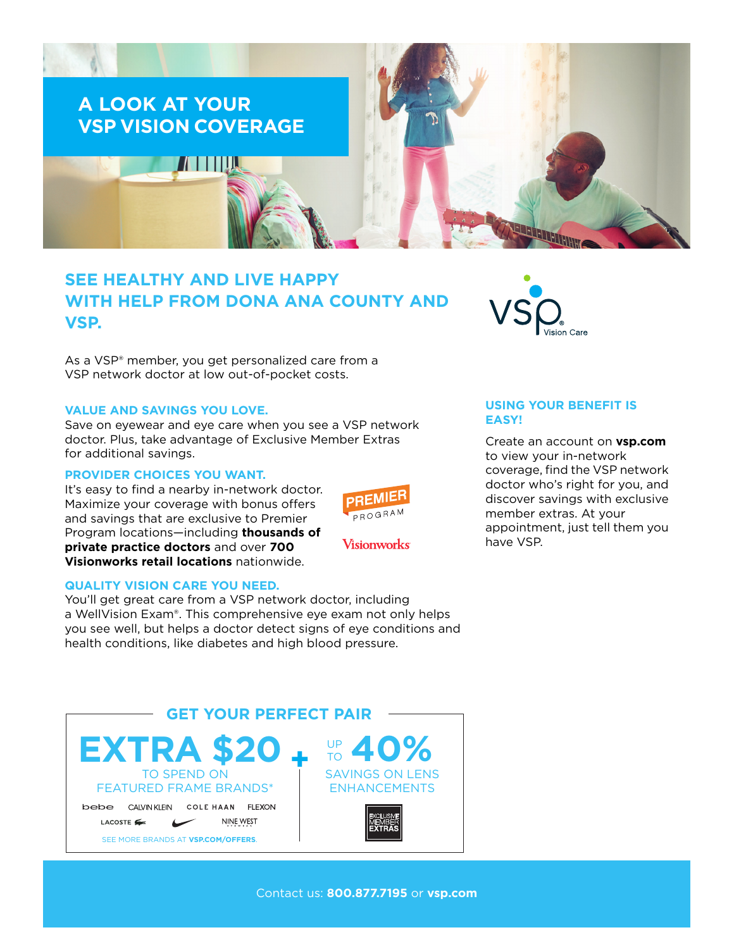

# **SEE HEALTHY AND LIVE HAPPY WITH HELP FROM DONA ANA COUNTY AND VSP.**

As a VSP® member, you get personalized care from a VSP network doctor at low out-of-pocket costs.

### **VALUE AND SAVINGS YOU LOVE.**

Save on eyewear and eye care when you see a VSP network doctor. Plus, take advantage of Exclusive Member Extras for additional savings.

## **PROVIDER CHOICES YOU WANT.**

It's easy to find a nearby in-network doctor. Maximize your coverage with bonus offers and savings that are exclusive to Premier Program locations—including **thousands of private practice doctors** and over **700 Visionworks retail locations** nationwide.



**Visionworks** 

#### **QUALITY VISION CARE YOU NEED.**

You'll get great care from a VSP network doctor, including a WellVision Exam®. This comprehensive eye exam not only helps you see well, but helps a doctor detect signs of eye conditions and health conditions, like diabetes and high blood pressure.





# **USING YOUR BENEFIT IS EASY!**

Create an account on **[vsp.com](http://www.vsp.com)** to view your in-network coverage, find the VSP network doctor who's right for you, and discover savings with exclusive member extras. At your appointment, just tell them you have VSP.